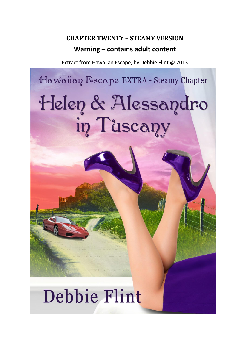## **CHAPTER TWENTY – STEAMY VERSION Warning – contains adult content**

Extract from Hawaiian Escape, by Debbie Flint @ 2013



## Debbie Flint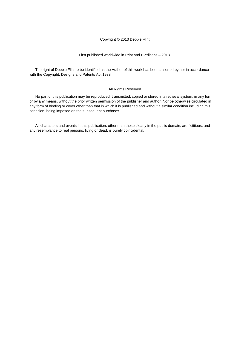#### Copyright © 2013 Debbie Flint

#### First published worldwide in Print and E-editions – 2013.

The right of Debbie Flint to be identified as the Author of this work has been asserted by her in accordance with the Copyright, Designs and Patents Act 1988.

#### All Rights Reserved

No part of this publication may be reproduced, transmitted, copied or stored in a retrieval system, in any form or by any means, without the prior written permission of the publisher and author. Nor be otherwise circulated in any form of binding or cover other than that in which it is published and without a similar condition including this condition, being imposed on the subsequent purchaser.

All characters and events in this publication, other than those clearly in the public domain, are fictitious, and any resemblance to real persons, living or dead, is purely coincidental.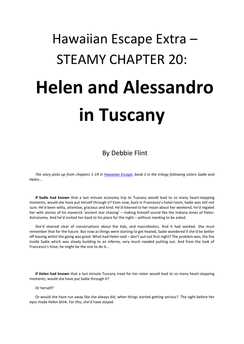# Hawaiian Escape Extra – STEAMY CHAPTER 20: **Helen and Alessandro in Tuscany**

By Debbie Flint

*The story picks up from chapters 1-19 in [Hawaiian Escape,](http://www.amazon.co.uk/Hawaiian-Escape-From-Trilogy-Retreat-ebook/dp/B00GY2JWWK/ref=sr_1_1?s=digital-text&ie=UTF8&qid=1392965137&sr=1-1&keywords=hawaiian+escape) book 1 in the trilogy following sisters Sadie and Helen…*

**If Sadie had known** that a last minute economy trip to Tuscany would lead to so many heart-stopping moments, would she have put herself through it? Even now, back in Francesco's hotel room, Sadie was still not sure. He'd been witty, attentive, gracious and kind. He'd listened to her moan about her weekend, he'd regaled her with stories of his maverick 'ancient star chasing' – making himself sound like the Indiana Jones of Paleo-Astronomy. And he'd invited her back to his place for the night – without needing to be asked.

She'd steered clear of conversations about the kids, and macrobiotics. And it had worked. She must remember that for the future. But now as things were starting to get heated, Sadie wondered if she'd be better off leaving whilst the going was good. What had Helen said – don't put out first night? The problem was, the fire inside Sadie which was slowly building to an inferno, very much needed putting out. And from the look of Francesco's hose, he might be the one to do it…

**If Helen had known** that a last minute Tuscany treat for her sister would lead to so many heart-stopping moments, would she have put Sadie through it?

Or herself?

Or would she have run away like she always did, when things started getting serious? The sight before her eyes made Helen blink. For this, she'd have stayed.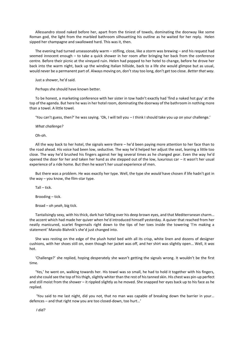Allessandro stood naked before her, apart from the tiniest of towels, dominating the doorway like some Roman god, the light from the marbled bathroom silhouetting his outline as he waited for her reply. Helen sipped her champagne and swallowed hard. This was it, then.

The evening had turned unseasonably warm – stifling, close, like a storm was brewing – and his request had seemed innocent enough – to take a quick shower in her room after bringing her back from the conference centre. Before their picnic at the vineyard ruin. Helen had popped to her hotel to change, before he drove her back into the warm night, back up the winding Italian hillside, back to a life she would glimpse but as usual, would never be a permanent part of. Always moving on, don't stay too long, don't get too close. *Better that way.*

Just a shower, he'd said.

Perhaps she should have known better.

To be honest, a marketing conference with her sister in tow hadn't exactly had 'find a naked hot guy' at the top of the agenda. But here he was in her hotel room, dominating the doorway of the bathroom in nothing more than a towel. A little towel.

'You can't guess, then?' he was saying. 'Ok, I will tell you – I think I should take you up on your challenge.'

*What challenge?*

Oh-oh.

All the way back to her hotel, the signals were there – he'd been paying more attention to her face than to the road ahead. His voice had been low, seductive. The way he'd helped her adjust the seat, leaning a little too close. The way he'd brushed his fingers against her leg several times as he changed gear. Even the way he'd opened the door for her and taken her hand as she stepped out of the low, luxurious car – it wasn't her usual experience of a ride home. But then he wasn't her usual experience of men.

But there was a problem. He was exactly her type. Well, the type she *would* have chosen if life hadn't got in the way – you know, the film-star type.

Tall – tick.

Brooding – tick.

Broad – oh *yeah*, big tick.

Tantalisingly sexy, with his thick, dark hair falling over his deep brown eyes, and that Mediterranean charm… the accent which had made her quiver when he'd introduced himself yesterday. A quiver that reached from her neatly manicured, scarlet fingernails right down to the tips of her toes inside the towering 'I'm making a statement' Manolo Blahnik's she'd just changed into.

She was resting on the edge of the plush hotel bed with all its crisp, white linen and dozens of designer cushions, with her shoes still on, even though her jacket was off, and her shirt was slightly open… Well, it *was* hot.

'Challenge?' she replied, hoping desperately she wasn't getting the signals wrong. It wouldn't be the first time.

'Yes,' he went on, walking towards her. His towel was so small, he had to hold it together with his fingers, and she could see the top of his thigh, slightly whiter than the rest of his tanned skin. His chest was pin-up perfect and still moist from the shower – it rippled slightly as he moved. She snapped her eyes back up to his face as he replied.

'You said to me last night, did you not, that no man was capable of breaking down the barrier in your… defences – and that right now you are too closed-down, too hurt…'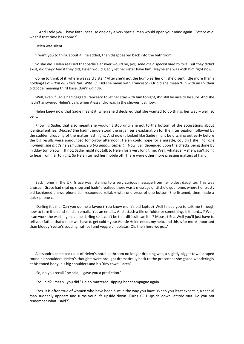'…And I told *you* – have faith, because one day a *very* special man would open your mind again…*Tesoro mia*, what if that time has come?'

#### Helen was silent.

'I want you to think about it,' he added, then disappeared back into the bathroom.

So she did. Helen realised that Sadie's answer would be, *yes, send me a special man to love.* But they didn't exist, did they? And if they did, Helen would gladly let her sister have him. Maybe she was with him right now.

Come to think of it, where was said Sister? After she'd got the hump earlier on, she'd sent little more than a holding-text – '*I'm ok. Have fun. With F.'* Did she mean with Francesco? Or did she mean 'fun with an F'- their old code meaning third base, *don't wait up*.

Well, even if Sadie had begged Francesco to let her stay with him tonight, it'd still be nice to be sure. And she hadn't answered Helen's calls when Alessandro was in the shower just now.

Helen knew now that Sadie meant it, when she'd declared that she wanted to do things her way – well, so be it.

Knowing Sadie, that also meant she wouldn't stop until she got to the bottom of the accusations about identical entries. *Whose?* She hadn't understood the organiser's explanation for the interrogation followed by the sudden dropping of the matter last night. And now it looked like Sadie might be ditching out early before the big results were announced tomorrow afternoon. Helen could hope for a miracle, couldn't she? *For one moment, she made herself visualize a big announcement…* Now it all depended upon the checks being done by midday tomorrow… If not, Sadie might not talk to Helen for a very long time. Well, whatever – she wasn't going to hear from her tonight. So Helen turned her mobile off. There were other more pressing matters at hand.

Back home in the UK, Grace was listening to a very curious message from her oldest daughter. This was unusual. Grace had shut up shop and hadn't realised there was a message until she'd got home, where her trusty old-fashioned answerphone still responded reliably with one press of one button. She listened, then made a quick phone call.

'Darling it's me. Can you do me a favour? You know mum's old laptop? Well I need you to talk me through how to turn it on and send an email… Yes an email… And attach a file or folder or something. Is it hard… ? Well, I can work the washing machine darling so it can't be that difficult can it… ? Mouse? Er… Well you'll just have to tell your father that dinner will have to get cold – your Auntie Helen needs my help, and this is far more important than bloody Yvette's sodding nut-loaf and veggie chipolatas. Ok, then here we go…'

Alessandro came back out of Helen's hotel bathroom no longer dripping wet, a slightly bigger towel draped round his shoulders. Helen's thoughts were brought dramatically back to the present as she gazed wonderingly at his toned body, his big shoulders and his 'tiny towel…area'.

'So, do you recall,' he said, 'I gave you a prediction.'

'You did? I mean…you did.' Helen muttered, sipping her champagne again.

'Yes, it is often true of women who have been hurt in the way you have. When you least expect it, a special man suddenly appears and turns your life upside down. Turns YOU upside down, *amore mio.* Do you not remember what I said?'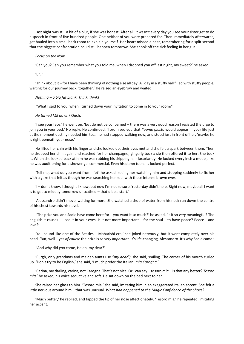Last night was still a bit of a blur, if she was honest. After all, it wasn't every day you see your sister get to do a speech in front of five hundred people. One neither of you were prepared for. Then immediately afterwards, get hauled into a small back room to explain yourself. Her heart missed a beat, remembering for a split second that the biggest confrontation could still happen tomorrow. She shook off the sick feeling in her gut.

#### *Focus on the Now.*

'Can you? Can you remember what you told me, when I dropped you off last night, my sweet?' he asked.

'Er…'

'Think about it – for I have been thinking of nothing else all day. All day in a stuffy hall filled with stuffy people, waiting for our journey back, together.' He raised an eyebrow and waited.

#### *Nothing – a big fat blank. Think, think!*

'What I said to you, when I turned down your invitation to come in to your room?'

#### *He turned ME down?* Ouch.

'I see your face,' he went on, 'but do not be concerned – there was a very good reason I resisted the urge to join you in your bed.' No reply. He continued. 'I promised you that *l'uomo giusto* would appear in your life just at the moment destiny needed him to…' he had stopped walking now, and stood just in front of her, 'maybe he is right beneath your nose.'

He lifted her chin with his finger and she looked up, their eyes met and she felt a spark between them. Then he dropped her chin again and reached for her champagne, gingerly took a sip then offered it to her. She took it. When she looked back at him he was rubbing his dripping hair luxuriantly. He looked every inch a model, like he was auditioning for a shower gel commercial. Even his damn toenails looked perfect.

'Tell me, what do you want from life?' he asked, seeing her watching him and stopping suddenly to fix her with a gaze that felt as though he was searching her soul with those intense brown eyes.

'I – don't know. I thought I knew, but now I'm not so sure. Yesterday didn't help. Right now, maybe all I want is to get to midday tomorrow unscathed – that'd be a start.'

Alessandro didn't move, waiting for more. She watched a drop of water from his neck run down the centre of his chest towards his navel.

'The prize you and Sadie have come here for – you want it so much?' he asked, 'Is it so *very* meaningful? The anguish it causes – I see it in your eyes. Is it not more important – for the soul – to have peace? Peace… and love?'

'You sound like one of the Beatles – Maharishi era,' she joked nervously, but it went completely over his head. 'But, well – yes *of course* the prize is *so very important*. It's life-changing, Alessandro. It's why Sadie came.'

#### 'And why did *you* come, Helen, my dear?'

'Eurgh, only grandmas and maiden aunts use "*my dear"*,' she said, smiling. The corner of his mouth curled up. 'Don't try to be English,' she said, 'I much prefer the Italian, *mia Carogna*.'

'Carina, my darling, carina, not Carogna. That's not nice. Or I can say – *tesoro mia –* is that any better? *Tesoro mia,*' he asked, his voice seductive and soft. He sat down on the bed next to her.

She raised her glass to him. 'Tesoro mia,' she said, imitating him in an exaggerated Italian accent. She felt a little nervous around him – that was unusual. *What had happened to the Magic Confidence of the Shoes*?

'Much better,' he replied, and tapped the tip of her nose affectionately. 'Tesoro mia,' he repeated, imitating her accent.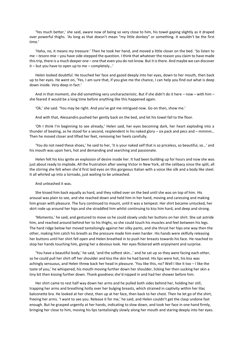'Yes much better,' she said, aware now of being so very close to him, his towel gaping slightly as it draped over powerful thighs. 'As long as that doesn't mean "my little donkey" or something. It wouldn't be the first time.'

'Haha, no, it means *my treasure*.' Then he took her hand, and moved a little closer on the bed. 'So listen to me – *tesoro mia –* you have side-stepped the question. I think that whatever the reason you claim to have made this trip, there is a much deeper one – one that even you do not know. But it is there. And maybe we can discover it – but you have to open up to me – completely…'

Helen looked doubtful. He touched her face and gazed deeply into her eyes, down to her mouth, then back up to her eyes. He went on, 'Yes, I am sure that, if you give me the chance, I can help you find out what is deep down inside. *Very* deep in fact.'

And in that moment, she did something very uncharacteristic. But if she didn't do it here – now – with him – she feared it would be a long time before anything like this happened again.

'Ok,' she said. 'You may be right. And you've got me intrigued now. Go on then, show me.'

And with that, Alessandro pushed her gently back on the bed, and let his towel fall to the floor.

'Oh I think I'm beginning to see already,' Helen said, her eyes becoming dark, her heart exploding into a thunder of beating, as he stood for a second, resplendent in his naked glory – six pack and pecs and – mmmm… Then he moved closer and lifted her feet, removing her heels carefully.

'You do not need these shoes,' he said to her, 'it is your naked self that is so priceless, so beautiful, so…' and his mouth was upon hers, hot and demanding and searching and passionate.

Helen felt his kiss ignite an explosion of desire inside her. It had been building up for hours and now she was just about ready to implode. All the frustration after seeing Victor in New York, all the celibacy since the split, all the stirring she felt when she'd first laid eyes on this gorgeous Italian with a voice like silk and a body like steel. It all whirled up into a tornado, just waiting to be unleashed.

#### And unleashed it was.

She kissed him back equally as hard, and they rolled over on the bed until she was on top of him. His arousal was plain to see, and she reached down and held him in her hand, moving and caressing and making him groan with pleasure. The fury continued to mount, until it was a tempest. Her shirt became untucked, her skirt rode up around her hips and she straddled him whilst continuing to kiss him hard, and deep and strong.

'Momento,' he said, and gestured to move so he could slowly undo her buttons on her shirt. She sat astride him, and reached around behind her to his thighs, so she could touch his muscles and feel between his legs. The hard ridge below her moved tantalisingly against her silky pants, and she thrust her hips one way then the other, making him catch his breath as the pressure made him even harder. His hands were skilfully releasing her buttons until her shirt fell open and Helen breathed in to push her breasts towards his face. He reached to stop her hands touching him, giving her a devious look. Her eyes flickered with enjoyment and surprise.

'You have a beautiful body,' he said, 'and the softest skin…' and he sat up so they were facing each other, so he could pull her shirt off her shoulder and kiss the skin he had bared. His lips were hot, his kiss was achingly sensuous, and Helen threw back her head in pleasure. 'You like this, no? Well I like it too – I like the taste of you,' he whispered, his mouth moving further down her shoulder, licking her then sucking her skin a tiny bit then kissing further down. Thank goodness she'd nipped in and had her shower before him.

Her shirt came to rest half way down her arms and he pulled both sides behind her, holding her still, trapping her arms and breathing hotly over her bulging breasts, which strained in captivity within her lilac balconette bra. He looked at her chest, then up at her face, then back to her chest. Then he let go of the shirt, freeing her arms. 'I want to see you. Release it for me,' he said, and Helen couldn't get the clasp undone fast enough. But he grasped urgently at her hands, indicating to slow down, and took her face in one hand firmly, bringing her close to him, moving his lips tantalisingly slowly along her mouth and staring deeply into her eyes.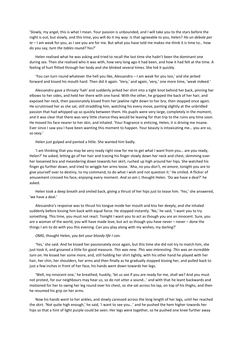'Slowly, my angel, this is what I mean. Your passion is unbounded, and I will take you to the stars before the night is out, but slowly, and this time, you will do it my way. Is that agreeable to you, Helen? *Ho un debole per te* – I am weak for you, as I see you are for me. But what you have told me makes me think it is time to… how do you say, *turn the tables round?* Yes?'

Helen realised what he was asking and tried to recall the last time she hadn't been the dominant one during sex. Then she realised who it was with, how very long ago it had been, and how it had felt at the time. A feeling of hurt flitted through her body and she blinked several times. She hid it quickly.

'You can turn round whatever the hell you like, Alessandro – I am weak for you too,' and she jerked forward and kissed his mouth hard. Then did it again. 'Very,' and again, 'very,' one more time, 'weak indeed.'

Alessandro gave a throaty 'hah' and suddenly jerked her shirt into a tight knot behind her back, pinning her elbows to her sides, and held her there with one hand. With the other, he gripped the back of her hair, and exposed her neck, then passionately kissed from her jawline right down to her bra, then stopped once again. He scrutinised her as she sat, still straddling him, watching his every move, panting slightly at the unbridled passion that had whipped up so quickly between them. His pupils were very large, completely in the moment, and it was clear that there was very little chance they would be leaving for that trip to the ruins any time soon. He moved his face nearer to her skin, and inhaled. 'Your fragrance is enticing, Helen, it is driving me insane. Ever since I saw you I have been wanting this moment to happen. Your beauty is intoxicating me… you are so, so sexy.'

Helen just gulped and panted a little. She wanted him badly.

'I am thinking that you may be very ready right now for me to get what I want from you… are you ready, Helen?' he asked, letting go of her hair and tracing his finger slowly down her neck and chest, skimming over her loosened bra and meandering down towards her skirt, ruched up high around her hips. She watched his finger go further down, and tried to wriggle her arms loose. 'Aha, no you don't, *mi amore*, tonight you are to give yourself over to destiny, to my command, to do what I wish and not question it.' He smiled. A flicker of amusement crossed his face, enjoying every moment. *And so am I*, thought Helen. 'Do we have a deal?' he asked.

Helen took a deep breath and smiled back, giving a thrust of her hips just to tease him. 'Yes,' she answered, 'we have a deal.'

Alessandro's response was to thrust his tongue inside her mouth and kiss her deeply, and she inhaled suddenly before kissing him back with equal force. He stopped instantly. 'No,' he said, 'I want you to try something. This time, you must not react. Tonight I want you to act as though you are an innocent. Sure, you are a woman of the world, you will have made love, but act as though you have never – never – done the things I am to do with you this evening. Can you play along with my wishes, my darling?'

#### *OMG*, thought Helen, *you bet your bloody life I can.*

'Yes,' she said. And he kissed her passionately once again, but this time she did not try to match him, she just took it, and groaned a little for good measure. *This was new. This was interesting. This was an incredible turn on.* He kissed her some more, and, still holding her shirt tightly, with his other hand he played with her hair, her chin, her shoulders, her arms and then finally as he gradually stopped kissing her, and pulled back to just a few inches in front of her face, his hands went down towards her legs.

'Well, my innocent one,' he breathed, huskily, 'let us see if you are ready for me, shall we? And you must not protest, for our neighbours may hear us, so do not utter a sound…' and with that he leant backwards and motioned for her to swing her leg round over his chest, so she sat across his lap, on top of his thighs, and then he resumed his grip on her arms.

Now his hands went to her ankles, and slowly caressed across the long length of her legs, until her reached the skirt. 'Not quite high enough,' he said, 'I want to see you…' and he pushed the hem higher towards her hips so that a hint of light purple could be seen. Her legs were together, so he pushed one knee further away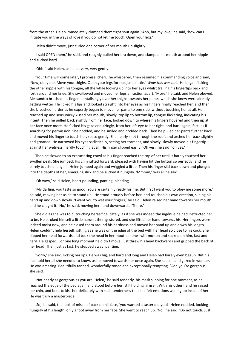from the other. Helen immediately clamped them tight shut again. 'Ahh, but my love,' he said, 'how can I initiate you in the ways of love if you do not let me touch. Open your legs.'

Helen didn't move, just curled one corner of her mouth up slightly.

'I said OPEN them,' he said, and roughly pulled her bra down, and clamped his mouth around her nipple and sucked hard.

'Ohh!' said Helen, as he bit very, very gently.

'Your time will come later, I promise, cheri,' he whispered, then resumed his commanding voice and said, 'Now, obey me. Move your thighs. Open your legs for me, just a little.' *Wow this was hot.* He began flicking the other nipple with his tongue, all the while looking up into her eyes whilst trailing his fingertips back and forth around her knee. She swallowed and moved her legs a fraction apart. 'More,' he said, and Helen obeyed. Alessandro brushed his fingers tantalisingly over her thighs towards her pants, which she knew were already getting wetter. He licked his lips and looked straight into her eyes as his fingers finally reached her, and then she breathed harder as he expertly began to move her pants to one side, without touching her at all. He reached up and sensuously kissed her mouth, slowly, top lip to bottom lip, tongue flickering, indicating his intent. Then he pulled back slightly from her face, looked down to where his fingers hovered and then up at her face once more. He flicked his gaze enquiringly, from her left eye to her right, and back again, fast, as if searching for permission. She nodded, and he smiled and nodded back. Then he pulled her pants further back and moved his finger to touch her, so, so gently. She nearly shot through the roof, and arched her back slightly and groaned. He narrowed his eyes sadistically, seeing her torment, and slowly, slowly moved his fingertip against her wetness, hardly touching at all. His finger slipped easily. 'Oh yes,' he said, 'oh yes.'

Then he slowed to an excruciating crawl as his finger reached the top of her until it barely touched her swollen peak. She jumped. His chin jutted forward, pleased with having hit the button so perfectly, and he barely touched it again. Helen jumped again and wriggled a little. Then his finger slid back down and plunged into the depths of her, emerging slick and he sucked it hungrily. 'Mmmm,' was all he said.

'Oh wow,' said Helen, heart pounding, panting, pleading.

'My darling, you taste so good. You are certainly ready for me. But first I want you to obey me some more,' he said, moving her aside to stand up. He stood proudly before her, and touched his own erection, sliding his hand up and down slowly. 'I want you to wet your fingers,' he said. Helen raised her hand towards her mouth and he caught it. 'No,' he said, moving her hand downwards. 'There.'

She did as she was told, touching herself delicately, as if she was indeed the ingénue he had instructed her to be. He stroked himself a little harder, then gestured, and she lifted her hand towards his. Her fingers were indeed moist now, and he closed them around his hardness and moved her hand up and down his length. Helen couldn't help herself, sitting as she was on the edge of the bed with her head so close to his cock. She dipped her head forwards and took the head in her mouth in one swift motion and sucked on him, fast and hard. He gasped. For one long moment he didn't move, just threw his head backwards and gripped the back of her head. Then just as fast, he stepped away, panting.

'Sorry,' she said, licking her lips. He was big, and hard and long and Helen had barely even begun. But his face told her all she needed to know, as he moved towards her once again. She sat still and gazed in wonder. He was amazing. Beautifully tanned, wonderfully toned and exceptionally tempting. 'God you're gorgeous,' she said.

'Not nearly as gorgeous as you are, Helen,' he said tenderly, his mask slipping for one moment, as he reached the edge of the bed again and stood before her, still holding himself. With his other hand he raised her chin, and bent to kiss her delicately with such tenderness that she felt emotions welling up inside of her. He was truly a masterpiece.

'So,' he said, the look of mischief back on his face, 'you wanted a taster did you?' Helen nodded, looking hungrily at his length, only a foot away from her face. She went to reach up. 'No,' he said. 'Do not touch. Just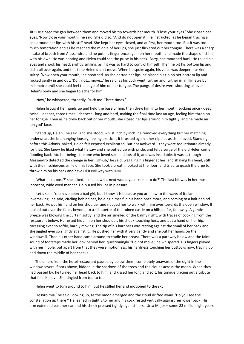sit.' He closed the gap between them and moved his tip towards her mouth. 'Close your eyes.' She closed her eyes. 'Now close your mouth,' he said. She did so. 'And do not open it,' he instructed, as he began tracing a line around her lips with his stiff head. She kept her eyes closed, and at first, her mouth too. But it was too much temptation and as he reached the middle of her lips, she just flickered out her tongue. There was a sharp intake of breath from Alessandro and he put his finger once again on her mouth, and made the shape of 'shhh' with his own. He was panting and Helen could see the pulse in his neck. *Sorry*, she mouthed back. He rolled his eyes and shook his head, slightly smiling, as if it was so hard to control himself. Then he bit his bottom lip and did it all over again, and this time Helen didn't move. When he spoke again, his voice was deeper, huskier, sultry. 'Now open your mouth,' he breathed. As she parted her lips, he placed his tip on her bottom lip and rocked gently in and out, 'Do… not… move…' he said, as his cock went further and further in, millimetre by millimetre until she could feel the edge of him on her tongue. The pangs of desire were shooting all over Helen's body and she began to ache for him.

'Now,' he whispered, throatily, 'suck me. Three times.'

Helen brought her hands up and held the base of him, then drew him into her mouth, sucking once - deep, twice – deeper, three times - deepest - long and hard, making the final time last an age, feeling him throb on her tongue. Then as he drew back out of her mouth, she closed her lips around him tightly, and he made an 'oh god' face.

'Stand up, Helen,' he said, and she stood, whilst inch by inch, he removed everything but her matching underwear, the bra hanging loosely, feeling exotic as it brushed against her nipples as she moved. Standing before this Adonis, naked, Helen felt exposed exhilarated. But not awkward – they were too intimate already for that. She knew he liked what he saw and she puffed up with pride, and felt a surge of the old Helen come flooding back into her being - the one who loved sex, had lots of it, and was insatiable. It was as though Alessandro detected the change in her. 'Uh-uh,' he said, waggling his finger at her, and shaking his head, still with the mischievous smile on his face. She took a breath, looked at the floor, and tried to quash the urge to throw him on his back and have HER evil way with HIM.

'What next, boss?' she asked. 'I mean, what next would you like me to do?' The last bit was in her most innocent, wide eyed manner. He pursed his lips in pleasure.

'Let's see… You have been a bad girl, but I know it is because you are new to the ways of Italian lovemaking,' he said, circling behind her, holding himself in his hand once more, and coming to a halt behind her back. He put his hand on her shoulder and nudged her to walk with him over towards the open window. It looked out over the fields beyond, to a silhouette of the ruined castle on a hillside far, far away. A gentle breeze was blowing the curtain softly, and the air smelled of the balmy night, with traces of cooking from the restaurant below. He rested his chin on her shoulder, his cheek touching hers, and put a hand on her hip, caressing ever so softly, hardly moving. The tip of his hardness was resting against the small of her back and she jiggled ever so slightly against it. He pushed her with it very gently and she put her hands on the windowsill. Then his other hand came around to cradle her breast. There was a pathway below and the faint sound of footsteps made her look behind her, questioningly. 'Do not move,' he whispered. His fingers played with her nipple, but apart from that they were motionless, his hardness touching her buttocks now, tracing up and down the middle of her cheeks.

The diners from the hotel restaurant passed by below them, completely unaware of the sight in the window several floors above, hidden in the shadows of the trees and the clouds across the moon. When they had passed by, he turned her head back to him, and kissed her long and soft, his tongue tracing out a tribute that felt like love. She tingled from top to toe.

Helen went to turn around to him, but he stilled her and motioned to the sky.

'Tesoro mia,' he said, looking up, as the moon emerged and the cloud drifted away. 'Do you see the constellation up there?' He leaned in tightly to her and his cock rested vertically against her lower back. His arm extended past her ear and his cheek pressed tightly against hers. 'Ursa Major – some 83 million light years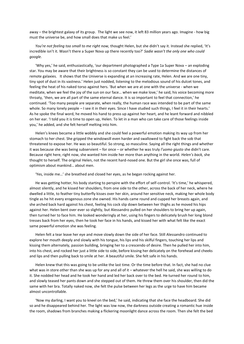away – the brightest galaxy of its group. The light we see now, it left 83 million years ago. Imagine - how big must the universe be, and how small does that make us feel.'

*You're not feeling too small to me right now,* thought Helen, but she didn't say it. Instead she replied, 'It's incredible isn't it. Wasn't there a Super Nova up there recently too?' *Sadie wasn't the only one who could google.*

'Why yes,' he said, enthusiastically, 'our department photographed a Type 1a Super Nova – an exploding star. You may be aware that their brightness is so constant they can be used to determine the distances of remote galaxies. It shows that the Universe is expanding at an increasing rate, Helen. And we are one tiny, tiny spot of dust in its vastness.' Helen just nodded, listening to the melodious sound of his dulcet tones, and feeling the heat of his naked torso against hers. 'But when we are at one with the universe - when we meditate, when we feel the joy of the sun on our face… when we make love,' he said, his voice becoming more throaty, 'then, we are all part of the same eternal dance. It is so important to feel that connection,' he continued. 'Too many people are separate, when really, the human race was intended to be part of the same whole. So many lonely people – I see it in their eyes. Since I have studied such things, I feel it in their hearts.' As he spoke the final word, he moved his hand to press up against her heart, and he leant forward and nibbled on her ear. 'I told you it is time to open up, Helen. To let in a man who can take care of those feelings inside you,' he added, and she felt herself melting into him.

Helen's knees became a little wobbly and she could feel a powerful emotion making its way up from her stomach to her chest. She gripped the windowsill even harder and swallowed to fight back the sob that threatened to expose her. He was so beautiful. So strong, so masculine. Saying all the right things and whether it was because she was being subservient – for once – or whether he was truly *l'uomo giusto* she didn't care. Because right here, right now, she wanted him inside her more than anything in the world. *Helen's back,* she thought to herself. The original Helen, not the recent hard-nosed one. But the girl she once was, full of optimism about mankind… about men.

'Yes, inside me…' she breathed and closed her eyes, as he began rocking against her.

He was getting hotter, his body starting to perspire with the effort of self-control. 'It's time,' he whispered, almost silently, and he kissed her shoulders, from one side to the other, across the back of her neck, where he dwelled a little, to feather tiny butterfly kisses over her skin, around her sensitive neck, making her whole body tingle as he hit every erogenous zone she owned. His hands came round and cupped her breasts again, and she arched back hard against his chest, feeling his cock slip down between her thighs as he moved his hips against her. Helen bent over ever so slightly, but Alessandro pulled on her shoulders to bring her up again, then turned her to face him. He looked wonderingly at her, using his fingers to delicately brush her long blond tresses back from her eyes, then he took her face in his hands, and kissed her with what felt like the exact same powerful emotion she was feeling.

Helen felt a tear leave her eye and move slowly down the side of her face. Still Alessandro continued to explore her mouth deeply and slowly with his tongue, his lips and his skilful fingers, touching her lips and kissing them alternately, passion building, bringing her to a crescendo of desire. Then he pulled her into him, into his chest, and rocked her just a little side to side, before kissing her delicately on the forehead and cheeks and lips and then pulling back to smile at her. A beautiful smile. She felt safe in his hands.

Helen knew that this was going to be unlike the last time. Or the time before that. In fact, she had no clue what was in store other than she was up for any and all of it – whatever the hell he said, she was willing to do it. She nodded her head and he took her hand and led her back over to the bed. He turned her round to him, and slowly teased her pants down and she stepped out of them. He threw them over his shoulder, then did the same with her bra. Totally naked now, she felt the pulse between her legs as the urge to have him became almost uncontrollable.

'Now my darling, I want you to kneel on the bed,' he said, indicating that she face the headboard. She did so and he disappeared behind her. The light was low now, the darkness outside creating a romantic hue inside the room, shadows from branches making a flickering moonlight dance across the room. Then she felt the bed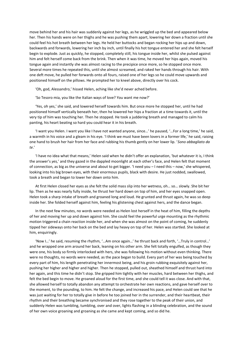move behind her and his hair was suddenly against her legs, as he wriggled up the bed and appeared below her. Then his hands were on her thighs and he was pushing them apart, lowering her down a fraction until she could feel his hot breath between her legs. He held her buttocks and began rocking her hips up and down, backwards and forwards, lowering her inch by inch, until finally his hot tongue entered her and she felt herself begin to explode. Just as quickly, he stopped, completely still, his tongue inside her, whilst she pulsed against him and felt herself come back from the brink. Then when it was time, he moved her hips again, moved his tongue again and instantly she was almost racing to the precipice once more, so he stopped once more. Several more times he repeated this, until she almost screamed, and raked her hands through his hair. With one deft move, he pulled her forwards onto all fours, raised one of her legs so he could move upwards and positioned himself on the pillows. He prompted her to kneel above, directly over his cock.

'Oh, god, Alessandro,' hissed Helen, aching like she'd never ached before.

'So Tesoro mia, you like the Italian ways of love? You want me now?'

'Yes, oh yes,' she said, and lowered herself towards him. But once more he stopped her, until he had positioned himself vertically beneath her, then he lowered her hips a fraction at a time towards it, until the very tip of him was touching her. Then he stopped. He took a juddering breath and managed to calm his panting, his heart beating so hard you could hear it in his breath.

'I want you Helen. I want you like I have not wanted anyone, since…' he paused, '…For a long time,' he said, a warmth in his voice and a gleam in his eye. 'I think we must have been lovers in a former life,' he said, raising one hand to brush her hair from her face and rubbing his thumb gently on her lower lip. '*Sono abbagliato da te*.'

'I have no idea what that means,' Helen said when he didn't offer an explanation, 'but whatever it is, I think the answer's *yes,*' and they gazed in the dappled moonlight at each other's face, and Helen felt that moment of connection, as big as the universe and about to get bigger. 'I need you – I need this – now,' she whispered, looking into his big brown eyes, with their enormous pupils, black with desire. He just nodded, swallowed, took a breath and began to lower her down onto him.

At first Helen closed her eyes as she felt the solid mass slip into her wetness, oh… so… slowly. She bit her lip. Then as he was nearly fully inside, he thrust her hard down on top of him, and her eyes snapped open. Helen took a sharp intake of breath and groaned long and loud. He grunted and thrust again, he was so deep inside her. She folded herself against him, feeling his glistening chest against hers, and the dance began.

In the next few minutes, no words were needed as Helen lost herself in the heat of him, filling the depths of her and moving her up and down against him. She could feel the powerful urge mounting as the rhythmic motion triggered a chain reaction inside her, and when she was almost on the point of coming, he suddenly tipped her sideways onto her back on the bed and lay heavy on top of her. Helen was startled. She looked at him, enquiringly.

'Now I…' he said, resuming the rhythm, '…Am once again…' he thrust back and forth, '…Truly in control…' and he wrapped one arm around her back, leaning on his other arm. She felt totally engulfed, as though they were one, his body so firmly interlocked with hers, she was following his motion without even thinking. There were no thoughts, no words were needed, as the pace began to build. Every part of her was being touched by every part of him, his length penetrating her innermost being, and his groin rubbing exquisitely against her, pushing her higher and higher and higher. Then he stopped, pulled out, sheathed himself and thrust hard into her again, and this time he didn't stop. She gripped him tightly with her muscles, hard between her thighs, and felt the bed begin to move. He groaned aloud for the first time, and she could tell it was close. And with that, she allowed herself to totally abandon any attempt to orchestrate her own reactions, and gave herself over to the moment, to the pounding, to him. He felt the change, and increased his pace, and Helen could see that he was just waiting for her to totally give in before he too joined her in the surrender, and their heartbeat, their rhythm and their breathing became synchronised and they rose together to the peak of their union, and suddenly Helen was tumbling, tumbling, over and over, lights flashing in a blinding celebration, and the sound of her own voice groaning and groaning as she came and kept coming, and so did he.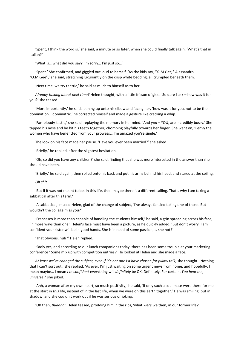'Spent, I think the word is,' she said, a minute or so later, when she could finally talk again. 'What's that in Italian?'

'What is… what did you say? I'm sorry… I'm just so…'

'Spent.' She confirmed, and giggled out loud to herself. 'As the kids say, "*O.M.Gee,"* Alessandro, "O.M.Gee",' she said, stretching luxuriantly on the crisp white bedding, all crumpled beneath them.

'Next time, we try tantric,' he said as much to himself as to her.

*Already talking about next time?* Helen thought, with a little frisson of glee. 'So dare I ask – how was it for you?' she teased.

'More importantly,' he said, leaning up onto his elbow and facing her, 'how was it for you, not to be the domination… dominatrix,' he corrected himself and made a gesture like cracking a whip.

'Fan-bloody-tastic,' she said, replaying the memory in her mind. 'And *you* – YOU, are incredibly bossy.' She tapped his nose and he bit his teeth together, chomping playfully towards her finger. She went on, 'I envy the women who have benefitted from your prowess… I'm amazed you're single.'

The look on his face made her pause. 'Have you ever been married?' she asked.

'Briefly,' he replied, after the slightest hesitation.

'Oh, so did you have any children?' she said, finding that she was more interested in the answer than she should have been.

'Briefly,' he said again, then rolled onto his back and put his arms behind his head, and stared at the ceiling.

*Oh shit.*

'But if it was not meant to be, in this life, then maybe there is a different calling. That's why I am taking a sabbatical after this term.'

'A sabbatical,' mused Helen, glad of the change of subject, 'I've always fancied taking one of those. But wouldn't the college miss you?'

'Francesco is more than capable of handling the students himself,' he said, a grin spreading across his face, 'in more ways than one.' Helen's face must have been a picture, as he quickly added, 'But don't worry, I am confident your sister will be in good hands. She is in need of some passion, is she not?'

'That obvious, huh?' Helen replied.

'Sadly yes, and according to our lunch companions today, there has been some trouble at your marketing conference? Some mix up with competition entries?' He looked at Helen and she made a face.

*At least we've changed the subject, even if it's not one I'd have chosen for pillow talk,* she thought. 'Nothing that I can't sort out,' she replied, 'As ever. I'm just waiting on some urgent news from home, and hopefully, I mean maybe… I mean *I'm confident* everything will *definitely* be OK. Definitely. For certain. *You hear me, universe?*' she joked.

'Ahh, a woman after my own heart, so much positivity,' he said, 'if only such a soul mate were there for me at the start in *this* life, instead of in the last life, when we were on this earth together.' He was smiling, but in shadow, and she couldn't work out if he was serious or joking.

'OK then, *Buddha*,' Helen teased, prodding him in the ribs, 'what *were* we then, in our former life?'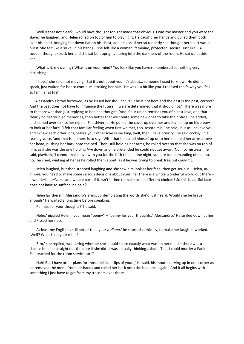'Well is that not clear? I would have thought tonight made that obvious. I was the master and you were the slave,' he laughed, and Helen rolled on top of him to play fight. He caught her hands and pulled them both over his head, bringing her down flat on his chest, and he kissed her so tenderly she thought her heart would burst. She felt like a slave, in his hands – she felt like a woman, feminine, protected, secure. Just like… A sudden thought struck her and she sat bolt upright, staring into the darkness of the room. He sat up beside her.

'What is it, my darling? What is on your mind? You look like you have remembered something very disturbing.'

'I have,' she said, not moving. 'But it's not about you. It's about… someone I used to know.' He didn't speak, just waited for her to continue, stroking her hair. 'He was… a bit like you. I realised that's why you felt so familiar at first.'

Alessandro's brow furrowed, as he kissed her shoulder. 'But he is *not* here and the past is the past, correct? And the past does not have to influence the future, if we are determined that it should not.' There was more to that answer than just replying to her, she thought. 'And if our union reminds you of a past love, one that clearly holds troubled memories, then better that we create some new ones to take their place,' he added, and leaned over to kiss her nipple. She shivered. He pulled the cover up over her and leaned up on his elbow to look at her face. 'I felt that familiar feeling when first we met, too, tesoro mia,' he said, 'but as I believe you and I knew each other long before your other love came long, well, then I have priority,' he said cockily, in a teasing voice, 'and that is all there is to say.' With that he pulled himself up onto her and held her arms above her head, pushing her back onto the bed. Then, still holding her arms, he rolled over so that she was on top of him, as if she was the one holding *him* down and he pretended he could not get away. 'No, no, mistress,' he said, playfully, 'I cannot make love with you for the fifth time in one night, you are too demanding of me, no, no,' he cried, winking at her as he rolled them about, as if he was trying to break free but couldn't.

Helen laughed, but then stopped laughing and she saw him look at her face, then get serious. 'Helen, *mi amore*, you need to make some serious decisions about your life. There is a whole wonderful world out there – a wonderful *universe* and we are part of it. Isn't it time to make some different choices? So this beautiful face does not have to suffer such pain?'

Helen lay there in Alessandro's arms, contemplating the words she'd just heard. Would she be brave enough? He waited a long time before speaking.

'Pennies for your thoughts?' he said.

'Hehe,' giggled Helen, 'you mean "penny" – "penny for your thoughts," Alessandro.' He smiled down at her and kissed her nose.

'At least my English is still better than your *Italiano*,' he snorted comically, to make her laugh. It worked. 'Well? What is on your mind?'

'Erm,' she replied, wondering whether she should share exactly what was on her mind – there was a chance he'd be straight out the door if she did. 'I was actually thinking… that… That I could murder a Panini.' She reached for the room service tariff.

'Hah! But I have other plans for those delicious lips of yours,' he said, his mouth curving up in one corner as he removed the menu from her hands and rolled her back onto the bed once again. 'And it all begins with something I just have to get from my trousers over there…'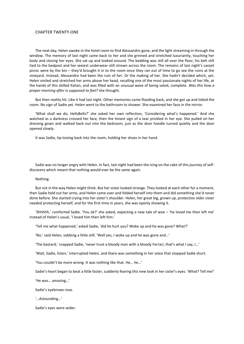#### CHAPTER TWENTY-ONE

The next day, Helen awoke in the hotel room to find Alessandro gone, and the light streaming in through the window. The memory of last night came back to her and she grinned and stretched luxuriantly, touching her body and closing her eyes. She sat up and looked around. The bedding was still all over the floor, his belt still tied to the bedpost and her sexiest underwear still strewn across the room. The remains of last night's carpet picnic were by the bin – they'd brought it in to the room once they ran out of time to go see the ruins at the vineyard. Instead, Alessandro had been the ruin of *her*. Or the making of her. She hadn't decided which, yet. Helen smiled and stretched her arms above her head, recalling one of the most passionate nights of her life, at the hands of this skilled Italian, and was filled with an unusual wave of being sated, complete. *Was this how a proper morning after is supposed to feel?* she thought.

But then reality hit. Like it had last night. Other memories came flooding back, and she got up and tidied the room. No sign of Sadie yet. Helen went to the bathroom to shower. She examined her face in the mirror.

'What shall we do, HellsBells?' she asked her own reflection, 'Considering what's happened.' And she watched as a darkness crossed her face, then the tiniest sign of a tear prickled in her eye. She pulled on her dressing gown and walked back out into the bedroom, just as the door handle turned quietly and the door opened slowly.

It was Sadie, tip-toeing back into the room, holding her shoes in her hand.

Sadie was no longer angry with Helen. In fact, last night had been the icing on the cake of this journey of selfdiscovery which meant that nothing would ever be the same again.

#### Nothing.

But not in the way Helen might think. But her sister looked strange. They looked at each other for a moment, then Sadie held out her arms, and Helen came over and folded herself into them and did something she'd never done before. She started crying into her sister's shoulder. Helen, her great big, grown up, protective older sister needed protecting herself, and for the first time in years, she was openly showing it.

'Shhhhh,' comforted Sadie. 'You ok?' she asked, expecting a new tale of woe – 'he loved me then left me' instead of Helen's usual, 'I loved him then left him.'

'Tell me what happened,' asked Sadie, 'did he hurt you? Woke up and he was gone? What?'

'No,' said Helen, sobbing a little still. 'Well yes, I woke up and he was gone and…'

'The bastard,' snapped Sadie, 'never trust a bloody man with a bloody Ferrari, that's what I say, I…'

'Wait, Sadie, listen,' interrupted Helen, and there was something in her voice that stopped Sadie short.

'You couldn't be more wrong. It was nothing like that. He… he…'

Sadie's heart began to beat a little faster, suddenly fearing this new look in her sister's eyes. 'What? Tell me!'

'He was… amazing…'

Sadie's eyebrows rose.

'…Astounding…'

Sadie's eyes were wider.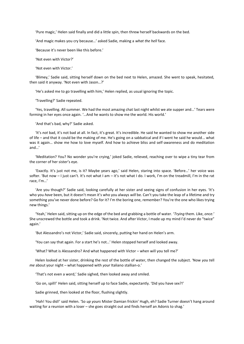'Pure magic,' Helen said finally and did a little spin, then threw herself backwards on the bed.

'And magic makes you cry because…' asked Sadie, making a *what the hell* face.

'Because it's never been like this before.'

'Not even with Victor?'

'Not even with Victor.'

'Blimey,' Sadie said, sitting herself down on the bed next to Helen, amazed. She went to speak, hesitated, then said it anyway. 'Not even with Jason…?'

'He's asked me to go travelling with him,' Helen replied, as usual ignoring the topic.

'Travelling?' Sadie repeated.

'Yes, travelling. All summer. We had the most amazing chat last night whilst we ate supper and…' Tears were forming in her eyes once again. '…And he wants to show me the world. His world.'

'And that's bad, why?' Sadie asked.

'It's *not* bad, it's not bad at all. In fact, it's great. It's incredible. He said he wanted to show me another side of life – and that it could be the making of me. He's going on a sabbatical and if I went he said he would… what was it again… show me how to love myself. And how to achieve bliss and self-awareness and do meditation and…'

'Meditation? You? No wonder you're crying,' joked Sadie, relieved, reaching over to wipe a tiny tear from the corner of her sister's eye.

'Exactly. It's just not me, is it? Maybe years ago,' said Helen, staring into space. 'Before…' her voice was softer. 'But now – I just can't. It's not what I am – it's not what I do. I work, I'm on the treadmill, I'm in the rat race, I'm…'

'Are you though?' Sadie said, looking carefully at her sister and seeing signs of confusion in her eyes. 'It's who you *have* been, but it doesn't mean it's who you always *will* be. Can't you take the leap of a lifetime and try something you've never done before? Go for it? I'm the boring one, remember? You're the one who likes trying new things.'

'Yeah,' Helen said, sitting up on the edge of the bed and grabbing a bottle of water. '*Trying* them. Like, *once.*' She unscrewed the bottle and took a drink. 'Not twice. And after Victor, I made up my mind I'd never do "twice" again.'

'But Alessandro's not Victor,' Sadie said, sincerely, putting her hand on Helen's arm.

'You can say that again. For a start he's not…' Helen stopped herself and looked away.

'What? What is Alessandro? And what happened with Victor – when will you tell me?'

Helen looked at her sister, drinking the rest of the bottle of water, then changed the subject. 'Now *you t*ell *me* about your night – what happened with *your* Italiano stallian-o.'

'That's not even a word,' Sadie sighed, then looked away and smiled.

'Go on, spill!' Helen said, sitting herself up to face Sadie, expectantly. 'Did you have sex?!'

Sadie grinned, then looked at the floor, flushing slightly.

'Hah! You did!' said Helen. 'So *up yours* Mister Damian frickin' Hugh, eh? Sadie Turner doesn't hang around waiting for a reunion with a loser – she goes straight out and finds herself an Adonis to shag.'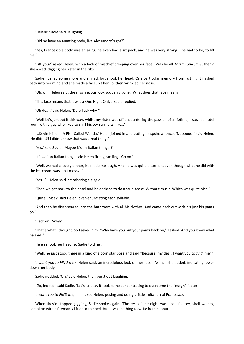'Helen!' Sadie said, laughing.

'Did he have an amazing body, like Alessandro's got?'

'Yes, Francesco's body was amazing, he even had a six pack, and he was very strong – he had to be, to lift me.'

'Lift you?' asked Helen, with a look of mischief creeping over her face. 'Was he all *Tarzan and Jane*, then?' she asked, digging her sister in the ribs.

Sadie flushed some more and smiled, but shook her head. One particular memory from last night flashed back into her mind and she made a face, bit her lip, then wrinkled her nose.

'Oh, oh,' Helen said, the mischievous look suddenly gone. 'What does that face mean?'

'This face means that it was a One Night Only,' Sadie replied.

'Oh dear,' said Helen. 'Dare I ask why?'

'Well let's just put it this way, whilst my sister was off encountering the passion of a lifetime, I was in a hotel room with a guy who liked to sniff his own armpits, like…'

'…Kevin Kline in A Fish Called Wanda,' Helen joined in and both girls spoke at once. 'Noooooo!' said Helen. 'He didn't?! I didn't know that was a real thing!'

'Yes,' said Sadie. 'Maybe it's an Italian thing…?'

'It's *not* an Italian thing,' said Helen firmly, smiling. 'Go on.'

'Well, we had a lovely dinner, he made me laugh. And he was quite a turn on, even though what he did with the ice-cream was a bit messy…'

'Yes…?' Helen said, smothering a giggle.

'Then we got back to the hotel and he decided to do a strip-tease. Without music. Which was quite nice.'

'Quite...nice?' said Helen, over-enunciating each syllable.

'And then he disappeared into the bathroom with all his clothes. And came back out with his just his pants on.'

'Back on? Why?'

'That's what I thought. So I asked him. "Why have you put your pants back on," I asked. And you know what he said?'

Helen shook her head, so Sadie told her.

'Well, he just stood there in a kind of a porn star pose and said "Because, my dear, I want you to *find* me",'

'*I want you to FIND me?'* Helen said, an incredulous look on her face, 'As in…' she added, indicating lower down her body.

Sadie nodded. 'Oh,' said Helen, then burst out laughing.

'*Oh*, indeed,' said Sadie. 'Let's just say it took some concentrating to overcome the "eurgh" factor.'

'*I want you to FIND me,*' mimicked Helen, posing and doing a little imitation of Francesco.

When they'd stopped giggling, Sadie spoke again. 'The rest of the night was... satisfactory, shall we say, complete with a fireman's lift onto the bed. But it was nothing to write home about.'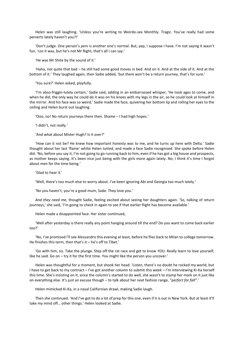Helen was still laughing. 'Unless you're writing to Weirdo-sex Monthly. Tragic. You've really had some perverts lately haven't you?!'

'Don't judge. One person's *perv* is another one's normal. But, yep, I suppose I have. I'm not saying it wasn't fun, 'cos it was, but he's not Mr Right, that's all I can say.'

'He was Mr Shite by the sound of it.'

'Haha, not quite that bad – he still had some good moves in bed. And on it. And at the side of it. And at the bottom of it.' They laughed again, then Sadie added, 'but there won't be a return journey, that's for sure.'

'You sure?' Helen asked, playfully.

'I'm abso-friggin-lutely certain,' Sadie said, adding in an embarrassed whisper, 'He took ages to come, and when he did, the only way he could do it was on his knees with my legs in the air, so he could look at himself in the mirror. And his face was so weird,' Sadie made the face, quivering her bottom lip and rolling her eyes to the ceiling and Helen burst out laughing.

'Ooo, no! No return journeys there then. Shame – I had high hopes.'

'I didn't, not really.'

'And what about Mister Hugh? Is it over?'

'How can it not be? He knew how important honesty was to me, and he turns up here with Delta.' Sadie thought about her last 'flame' whilst Helen *tutted*, and made a face Sadie recognised. She spoke before Helen did. 'No, before you say it, I'm not going to go running back to him, even if he has got a big house and prospects, as mother keeps saying. It's been nice just being with the girls more again lately. No, I think it's time I forgot about men for the time being.'

'Glad to hear it.'

'Well, there's too much else to worry about. I've been ignoring Abi and Georgia too much lately.'

'No you haven't, you're a good mum, Sade. They love you.'

*And they need me,* thought Sadie, feeling excited about seeing her daughters again. 'So, talking of return journeys,' she said, 'I'm going to check in again to see if that earlier flight has become available.'

Helen made a disappointed face. Her sister continued,

'Well after yesterday is there really any point hanging around till the end? Do you want to come back earlier too?'

'No, I've promised I'll see Alessandro this evening at least, before he flies back to Milan to college tomorrow. He finishes this term, then that's it – he's off to Tibet.'

'Go with him, sis. Take the plunge. Step off the rat race and get to know *YOU*. Really learn to love yourself, like he said. Go on – try it for the first time. You might like the person you uncover.'

Helen was thoughtful for a moment, but shook her head. 'Listen, there's no doubt he rocked my world, but I have to get back to my contract – I've got another column to submit this week – I'm interviewing Ki-Ka herself this time. She's insisting on it, since the column's started to do well, she wasn't to stamp her mark on it just like on everything else. It's just an excuse though – to talk about her next fashion range, "*perfect for fall".'* 

Helen mimicked Ki-Ka, in a nasal Californian drawl, making Sadie laugh.

Then she continued. 'And I've got to do a lot of prep for this one, even if it is out in New York. But at least it'll take my mind off… other things.' Helen looked at Sadie.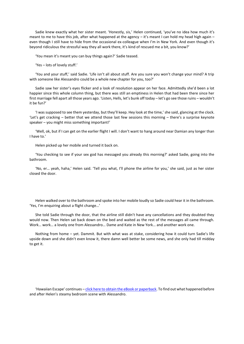Sadie knew exactly what her sister meant. 'Honestly, sis,' Helen continued, 'you've no idea how much it's meant to me to have this job, after what happened at the agency – it's meant I can hold my head high again – even though I still have to hide from the occasional ex-colleague when I'm in New York. And even though it's beyond ridiculous the stressful way they all work there, it's kind of rescued me a bit, you know?'

'You mean it's meant you can buy things again?' Sadie teased.

'Yes – lots of lovely stuff.'

'You and your stuff,' said Sadie. 'Life isn't all about stuff. Are you sure you won't change your mind? A trip with someone like Alessandro could be a whole new chapter for you, too?'

Sadie saw her sister's eyes flicker and a look of resolution appear on her face. Admittedly she'd been a lot happier since this whole column thing, but there was still an emptiness in Helen that had been there since her first marriage fell apart all those years ago. 'Listen, Hells, let's bunk off today – let's go see those ruins – wouldn't it be fun?'

'I was supposed to see them yesterday, but they'll keep. Hey look at the time,' she said, glancing at the clock. 'Let's get cracking – better that we attend those last few sessions this morning – there's a surprise keynote speaker – you might miss something important!'

'Well, ok, but if I can get on the earlier flight I will. I don't want to hang around near Damian any longer than I have to.'

Helen picked up her mobile and turned it back on.

'You checking to see if your sex god has messaged you already this morning?' asked Sadie, going into the bathroom.

'No, er… yeah, haha,' Helen said. 'Tell you what, I'll phone the airline for you,' she said, just as her sister closed the door.

Helen walked over to the bathroom and spoke into her mobile loudly so Sadie could hear it in the bathroom. 'Yes, I'm enquiring about a flight change…'

She told Sadie through the door, that the airline still didn't have any cancellations and they doubted they would now. Then Helen sat back down on the bed and waited as the rest of the messages all came through. Work… work… a lovely one from Alessandro… Dame and Kate in New York… and another work one.

Nothing from home – yet. Dammit. But with what was at stake, considering how it could turn Sadie's life upside down and she didn't even know it, there damn well better be some news, and she only had till midday to get it.

'Hawaiian Escape' continues – [click here to obtain the eBook or paperback.](http://www.amazon.co.uk/Hawaiian-Escape-From-Trilogy-Retreat-ebook/dp/B00GY2JWWK/ref=sr_1_1?s=digital-text&ie=UTF8&qid=1392562988&sr=1-1&keywords=hawaiian+escape) To find out what happened before and after Helen's steamy bedroom scene with Alessandro.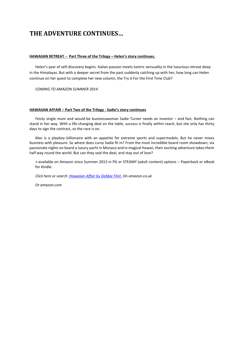### **THE ADVENTURE CONTINUES…**

#### **HAWAIIAN RETREAT** – **Part Three of the Trilogy – Helen's story continues.**

Helen's year of self-discovery begins. Italian passion meets tantric sensuality in the luxurious retreat deep in the Himalayas. But with a deeper secret from the past suddenly catching up with her, how long can Helen continue on her quest to complete her new column, the Try it For the First Time Club?

*COMING TO AMAZON SUMMER 2014*

#### **HAWAIIAN AFFAIR – Part Two of the Trilogy - Sadie's story continues**

Feisty single mum and would-be businesswoman Sadie Turner needs an investor – and fast. Nothing can stand in her way. With a life-changing deal on the table, success is finally within reach, but she only has thirty days to sign the contract, so the race is on.

Mac is a playboy billionaire with an appetite for extreme sports and supermodels. But he never mixes business with pleasure. So where does curvy Sadie fit in? From the most incredible board room showdown, via passionate nights on board a luxury yacht in Monaco and in magical Hawaii, their exciting adventure takes them half way round the world. But can they seal the deal, and stay out of love?

+-available on Amazon since Summer 2013 in PG or STEAMY (adult content) options – Paperback or eBook for Kindle.

*Click here or search [Hawaiian Affair by Debbie Flint.](http://www.amazon.co.uk/s/ref=nb_sb_noss_1?url=search-alias%3Dstripbooks&field-keywords=hawaiian+affair&rh=n%3A266239%2Ck%3Ahawaiian+affair) On amazon.co.uk*

*Or amazon.com*